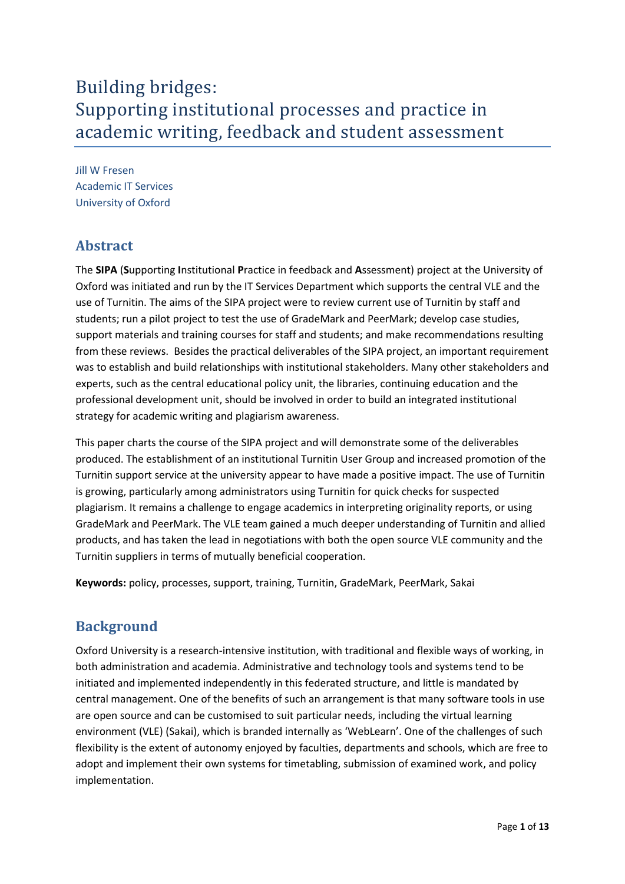# Building bridges: Supporting institutional processes and practice in academic writing, feedback and student assessment

Jill W Fresen Academic IT Services University of Oxford

## **Abstract**

The **SIPA** (**S**upporting **I**nstitutional **P**ractice in feedback and **A**ssessment) project at the University of Oxford was initiated and run by the IT Services Department which supports the central VLE and the use of Turnitin. The aims of the SIPA project were to review current use of Turnitin by staff and students; run a pilot project to test the use of GradeMark and PeerMark; develop case studies, support materials and training courses for staff and students; and make recommendations resulting from these reviews. Besides the practical deliverables of the SIPA project, an important requirement was to establish and build relationships with institutional stakeholders. Many other stakeholders and experts, such as the central educational policy unit, the libraries, continuing education and the professional development unit, should be involved in order to build an integrated institutional strategy for academic writing and plagiarism awareness.

This paper charts the course of the SIPA project and will demonstrate some of the deliverables produced. The establishment of an institutional Turnitin User Group and increased promotion of the Turnitin support service at the university appear to have made a positive impact. The use of Turnitin is growing, particularly among administrators using Turnitin for quick checks for suspected plagiarism. It remains a challenge to engage academics in interpreting originality reports, or using GradeMark and PeerMark. The VLE team gained a much deeper understanding of Turnitin and allied products, and has taken the lead in negotiations with both the open source VLE community and the Turnitin suppliers in terms of mutually beneficial cooperation.

**Keywords:** policy, processes, support, training, Turnitin, GradeMark, PeerMark, Sakai

# **Background**

Oxford University is a research-intensive institution, with traditional and flexible ways of working, in both administration and academia. Administrative and technology tools and systems tend to be initiated and implemented independently in this federated structure, and little is mandated by central management. One of the benefits of such an arrangement is that many software tools in use are open source and can be customised to suit particular needs, including the virtual learning environment (VLE) (Sakai), which is branded internally as 'WebLearn'. One of the challenges of such flexibility is the extent of autonomy enjoyed by faculties, departments and schools, which are free to adopt and implement their own systems for timetabling, submission of examined work, and policy implementation.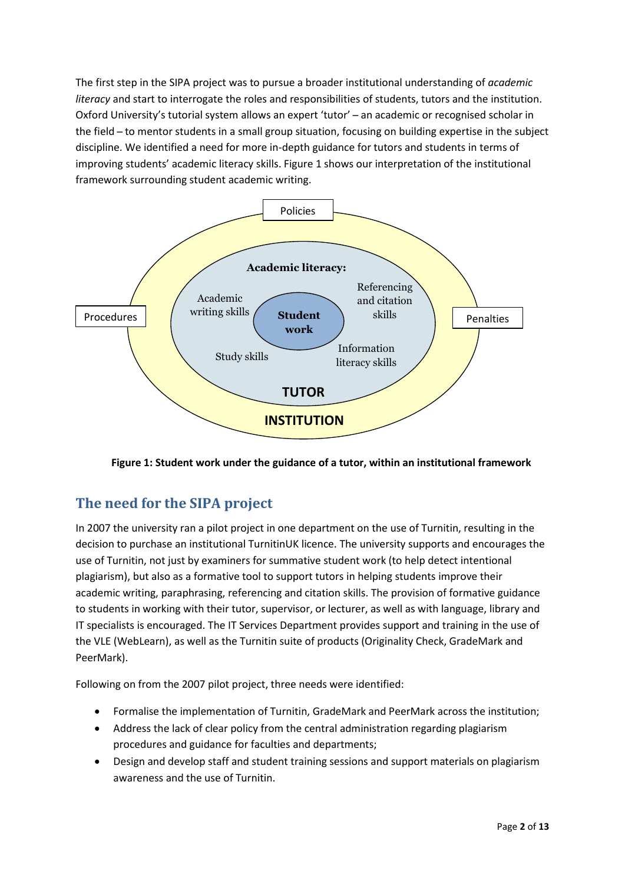The first step in the SIPA project was to pursue a broader institutional understanding of *academic literacy* and start to interrogate the roles and responsibilities of students, tutors and the institution. Oxford University's tutorial system allows an expert 'tutor' - an academic or recognised scholar in the field - to mentor students in a small group situation, focusing on building expertise in the subject discipline. We identified a need for more in-depth guidance for tutors and students in terms of improving students' academic literacy skills. Figure 1 shows our interpretation of the institutional framework surrounding student academic writing.



**Figure 1: Student work under the guidance of a tutor, within an institutional framework**

# **The need for the SIPA project**

In 2007 the university ran a pilot project in one department on the use of Turnitin, resulting in the decision to purchase an institutional TurnitinUK licence. The university supports and encourages the use of Turnitin, not just by examiners for summative student work (to help detect intentional plagiarism), but also as a formative tool to support tutors in helping students improve their academic writing, paraphrasing, referencing and citation skills. The provision of formative guidance to students in working with their tutor, supervisor, or lecturer, as well as with language, library and IT specialists is encouraged. The IT Services Department provides support and training in the use of the VLE (WebLearn), as well as the Turnitin suite of products (Originality Check, GradeMark and PeerMark).

Following on from the 2007 pilot project, three needs were identified:

- Formalise the implementation of Turnitin, GradeMark and PeerMark across the institution;
- Address the lack of clear policy from the central administration regarding plagiarism procedures and guidance for faculties and departments;
- Design and develop staff and student training sessions and support materials on plagiarism awareness and the use of Turnitin.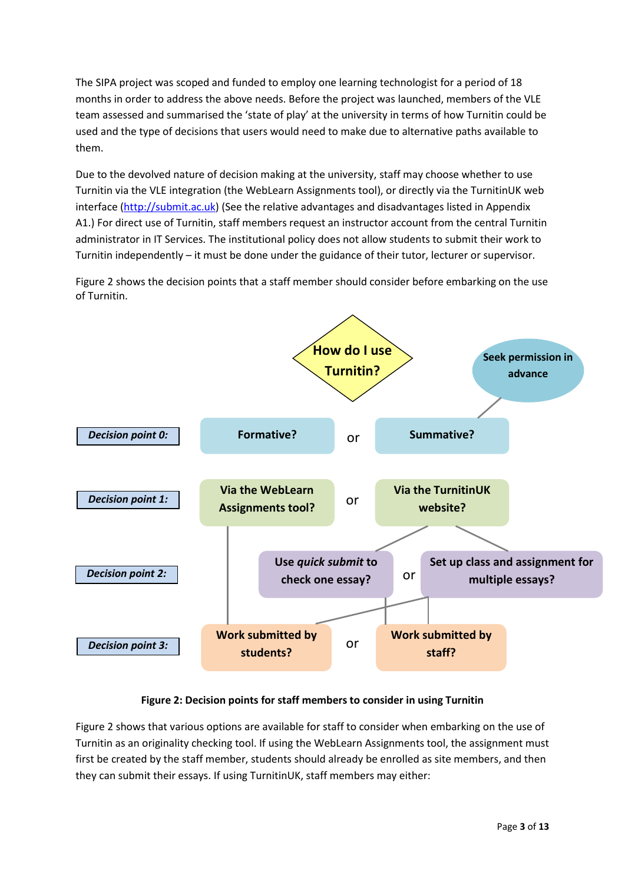The SIPA project was scoped and funded to employ one learning technologist for a period of 18 months in order to address the above needs. Before the project was launched, members of the VLE team assessed and summarised the 'state of play' at the university in terms of how Turnitin could be used and the type of decisions that users would need to make due to alternative paths available to them.

Due to the devolved nature of decision making at the university, staff may choose whether to use Turnitin via the VLE integration (the WebLearn Assignments tool), or directly via the TurnitinUK web interface [\(http://submit.ac.uk\)](http://submit.ac.uk/) (See the relative advantages and disadvantages listed in Appendix A1.) For direct use of Turnitin, staff members request an instructor account from the central Turnitin administrator in IT Services. The institutional policy does not allow students to submit their work to Turnitin independently – it must be done under the guidance of their tutor, lecturer or supervisor.

Figure 2 shows the decision points that a staff member should consider before embarking on the use of Turnitin.



#### **Figure 2: Decision points for staff members to consider in using Turnitin**

Figure 2 shows that various options are available for staff to consider when embarking on the use of Turnitin as an originality checking tool. If using the WebLearn Assignments tool, the assignment must first be created by the staff member, students should already be enrolled as site members, and then they can submit their essays. If using TurnitinUK, staff members may either: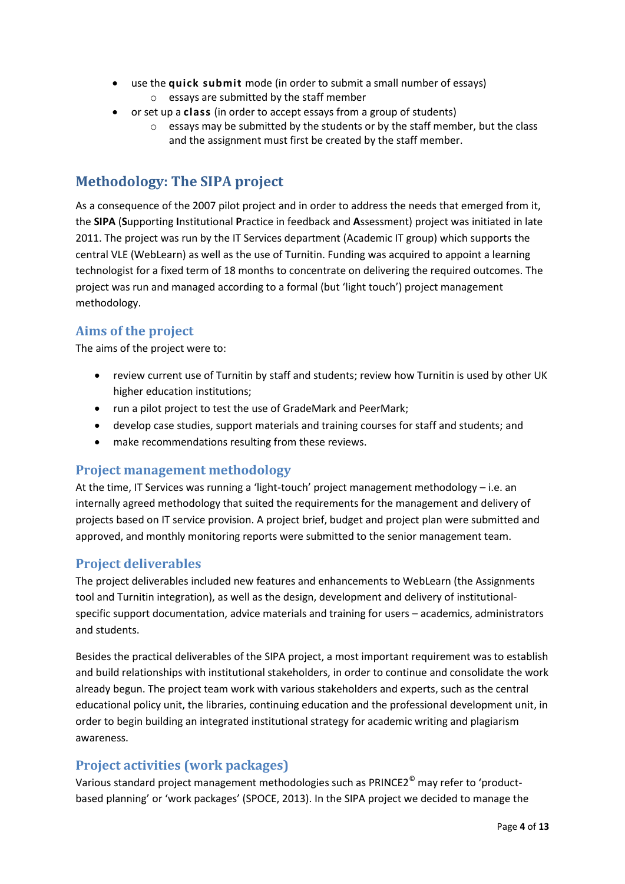- use the **quick submit** mode (in order to submit a small number of essays) o essays are submitted by the staff member
- or set up a **class** (in order to accept essays from a group of students)
	- $\circ$  essays may be submitted by the students or by the staff member, but the class and the assignment must first be created by the staff member.

## **Methodology: The SIPA project**

As a consequence of the 2007 pilot project and in order to address the needs that emerged from it, the **SIPA** (**S**upporting **I**nstitutional **P**ractice in feedback and **A**ssessment) project was initiated in late 2011. The project was run by the IT Services department (Academic IT group) which supports the central VLE (WebLearn) as well as the use of Turnitin. Funding was acquired to appoint a learning technologist for a fixed term of 18 months to concentrate on delivering the required outcomes. The project was run and managed according to a formal (but 'light touch') project management methodology.

#### **Aims of the project**

The aims of the project were to:

- review current use of Turnitin by staff and students; review how Turnitin is used by other UK higher education institutions;
- run a pilot project to test the use of GradeMark and PeerMark;
- develop case studies, support materials and training courses for staff and students; and
- make recommendations resulting from these reviews.

#### **Project management methodology**

At the time, IT Services was running a 'light-touch' project management methodology - i.e. an internally agreed methodology that suited the requirements for the management and delivery of projects based on IT service provision. A project brief, budget and project plan were submitted and approved, and monthly monitoring reports were submitted to the senior management team.

### **Project deliverables**

The project deliverables included new features and enhancements to WebLearn (the Assignments tool and Turnitin integration), as well as the design, development and delivery of institutionalspecific support documentation, advice materials and training for users – academics, administrators and students.

Besides the practical deliverables of the SIPA project, a most important requirement was to establish and build relationships with institutional stakeholders, in order to continue and consolidate the work already begun. The project team work with various stakeholders and experts, such as the central educational policy unit, the libraries, continuing education and the professional development unit, in order to begin building an integrated institutional strategy for academic writing and plagiarism awareness.

### **Project activities (work packages)**

Various standard project management methodologies such as PRINCE2<sup>®</sup> may refer to 'productbased planning' or 'work packages' (SPOCE, 2013). In the SIPA project we decided to manage the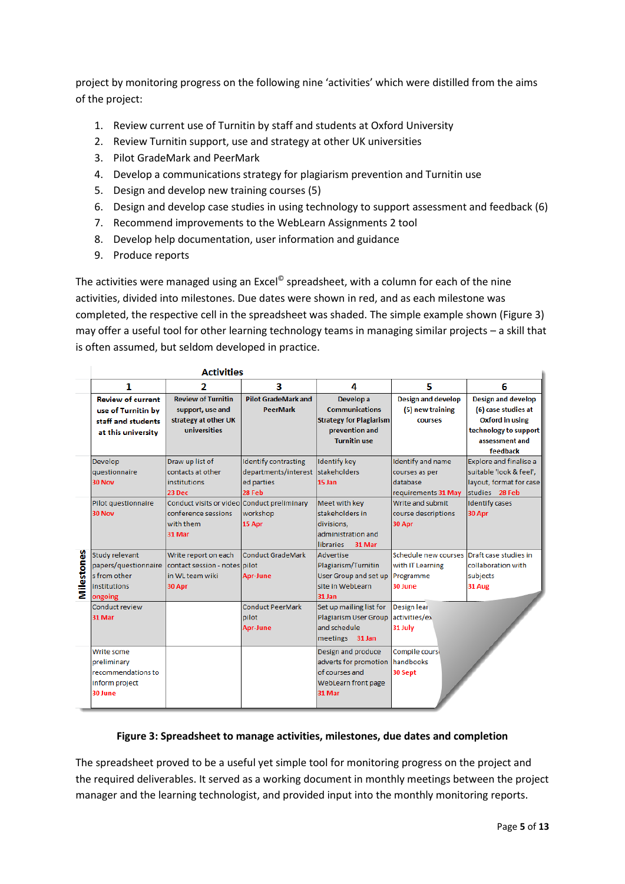project by monitoring progress on the following nine 'activities' which were distilled from the aims of the project:

- 1. Review current use of Turnitin by staff and students at Oxford University
- 2. Review Turnitin support, use and strategy at other UK universities
- 3. Pilot GradeMark and PeerMark
- 4. Develop a communications strategy for plagiarism prevention and Turnitin use
- 5. Design and develop new training courses (5)
- 6. Design and develop case studies in using technology to support assessment and feedback (6)
- 7. Recommend improvements to the WebLearn Assignments 2 tool
- 8. Develop help documentation, user information and guidance
- 9. Produce reports

The activities were managed using an Excel<sup>©</sup> spreadsheet, with a column for each of the nine activities, divided into milestones. Due dates were shown in red, and as each milestone was completed, the respective cell in the spreadsheet was shaded. The simple example shown (Figure 3) may offer a useful tool for other learning technology teams in managing similar projects – a skill that is often assumed, but seldom developed in practice.

|            |                          | <b>Activities</b>                           |                             |                                |                           |                           |
|------------|--------------------------|---------------------------------------------|-----------------------------|--------------------------------|---------------------------|---------------------------|
|            | 1                        | 2                                           | з                           | 4                              | 5                         | 6                         |
|            | <b>Review of current</b> | <b>Review of Turnitin</b>                   | <b>Pilot GradeMark and</b>  | Develop a                      | <b>Design and develop</b> | <b>Design and develop</b> |
|            | use of Turnitin by       | support, use and                            | <b>PeerMark</b>             | <b>Communications</b>          | (5) new training          | (6) case studies at       |
|            | staff and students       | strategy at other UK                        |                             | <b>Strategy for Plagiarism</b> | <b>courses</b>            | <b>Oxford in using</b>    |
|            | at this university       | universities                                |                             | prevention and                 |                           | technology to support     |
|            |                          |                                             |                             | <b>Turnitin use</b>            |                           | assessment and            |
|            |                          |                                             |                             |                                |                           | feedback                  |
|            | Develop                  | Draw up list of                             | <b>Identify contrasting</b> | <b>Identify key</b>            | <b>Identify and name</b>  | Explore and finalise a    |
|            | questionnaire            | contacts at other                           | departments/interest        | <b>stakeholders</b>            | courses as per            | suitable 'look & feel',   |
|            | <b>30 Nov</b>            | <b>institutions</b>                         | ed parties                  | 15 Jan                         | database                  | layout, format for case   |
|            |                          | 23 Dec                                      | 28 Feb                      |                                | requirements 31 May       | studies 28 Feb            |
|            | Pilot questionnaire      | Conduct visits or video Conduct preliminary |                             | Meet with key                  | Write and submit          | <b>Identify cases</b>     |
|            | 30 Nov                   | conference sessions                         | workshop                    | stakeholders in                | course descriptions       | 30 Apr                    |
|            |                          | with them                                   | 15 Apr                      | divisions,                     | 30 Apr                    |                           |
|            |                          | 31 Mar                                      |                             | administration and             |                           |                           |
| Milestones |                          |                                             |                             | 31 Mar<br><b>libraries</b>     |                           |                           |
|            | Study relevant           | Write report on each                        | <b>Conduct GradeMark</b>    | Advertise                      | Schedule new courses      | Draft case studies in     |
|            | papers/questionnaire     | contact session - notes pilot               |                             | Plagiarism/Turnitin            | with IT Learning          | collaboration with        |
|            | s from other             | in WL team wiki                             | <b>Apr-June</b>             | User Group and set up          | Programme                 | subjects                  |
|            | institutions             | 30 Apr                                      |                             | site in WebLearn               | 30 June                   | 31 Aug                    |
|            | ongoing                  |                                             |                             | 31 Jan                         |                           |                           |
|            | Conduct review           |                                             | <b>Conduct PeerMark</b>     | Set up mailing list for        | <b>Design lear</b>        |                           |
|            | 31 Mar                   |                                             | pilot                       | <b>Plagiarism User Group</b>   | activities/ex             |                           |
|            |                          |                                             | <b>Apr-June</b>             | and schedule.                  | 31 July                   |                           |
|            |                          |                                             |                             | meetings 31 Jan                |                           |                           |
|            | Write some               |                                             |                             | Design and produce             | Compile cours             |                           |
|            | preliminary              |                                             |                             | adverts for promotion          | <b>handbooks</b>          |                           |
|            | recommendations to       |                                             |                             | of courses and                 | 30 Sept                   |                           |
|            | inform project           |                                             |                             | WebLearn front page            |                           |                           |
|            | 30 June                  |                                             |                             | 31 Mar                         |                           |                           |
|            |                          |                                             |                             |                                |                           |                           |

#### **Figure 3: Spreadsheet to manage activities, milestones, due dates and completion**

The spreadsheet proved to be a useful yet simple tool for monitoring progress on the project and the required deliverables. It served as a working document in monthly meetings between the project manager and the learning technologist, and provided input into the monthly monitoring reports.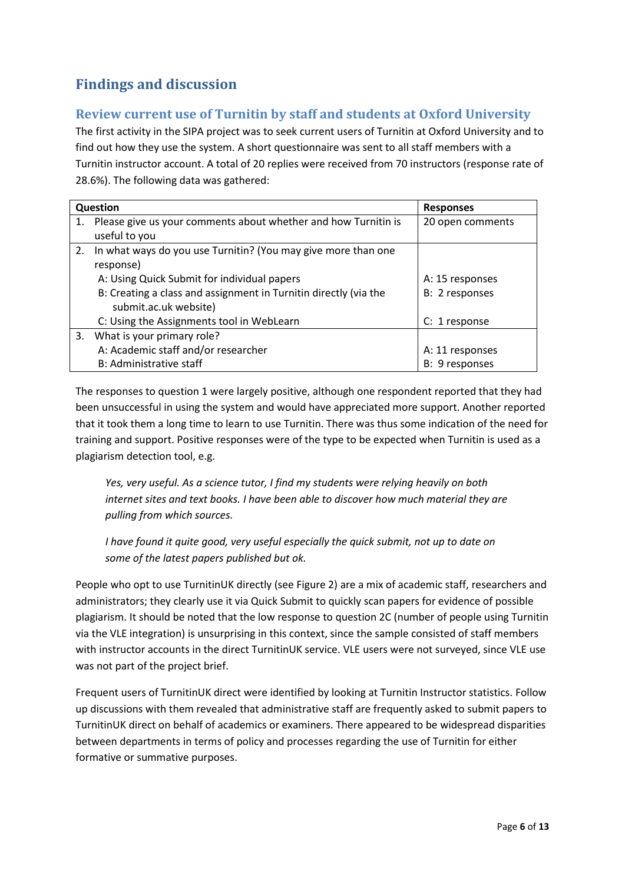# **Findings and discussion**

### **Review current use of Turnitin by staff and students at Oxford University**

The first activity in the SIPA project was to seek current users of Turnitin at Oxford University and to find out how they use the system. A short questionnaire was sent to all staff members with a Turnitin instructor account. A total of 20 replies were received from 70 instructors (response rate of 28.6%). The following data was gathered:

|    | Question                                                         | <b>Responses</b> |
|----|------------------------------------------------------------------|------------------|
| 1. | Please give us your comments about whether and how Turnitin is   | 20 open comments |
|    | useful to you                                                    |                  |
| 2. | In what ways do you use Turnitin? (You may give more than one    |                  |
|    | response)                                                        |                  |
|    | A: Using Quick Submit for individual papers                      | A: 15 responses  |
|    | B: Creating a class and assignment in Turnitin directly (via the | B: 2 responses   |
|    | submit.ac.uk website)                                            |                  |
|    | C: Using the Assignments tool in WebLearn                        | C: 1 response    |
| 3. | What is your primary role?                                       |                  |
|    | A: Academic staff and/or researcher                              | A: 11 responses  |
|    | B: Administrative staff                                          | B: 9 responses   |

The responses to question 1 were largely positive, although one respondent reported that they had been unsuccessful in using the system and would have appreciated more support. Another reported that it took them a long time to learn to use Turnitin. There was thus some indication of the need for training and support. Positive responses were of the type to be expected when Turnitin is used as a plagiarism detection tool, e.g.

*Yes, very useful. As a science tutor, I find my students were relying heavily on both internet sites and text books. I have been able to discover how much material they are pulling from which sources.*

*I have found it quite good, very useful especially the quick submit, not up to date on some of the latest papers published but ok.*

People who opt to use TurnitinUK directly (see Figure 2) are a mix of academic staff, researchers and administrators; they clearly use it via Quick Submit to quickly scan papers for evidence of possible plagiarism. It should be noted that the low response to question 2C (number of people using Turnitin via the VLE integration) is unsurprising in this context, since the sample consisted of staff members with instructor accounts in the direct TurnitinUK service. VLE users were not surveyed, since VLE use was not part of the project brief.

Frequent users of TurnitinUK direct were identified by looking at Turnitin Instructor statistics. Follow up discussions with them revealed that administrative staff are frequently asked to submit papers to TurnitinUK direct on behalf of academics or examiners. There appeared to be widespread disparities between departments in terms of policy and processes regarding the use of Turnitin for either formative or summative purposes.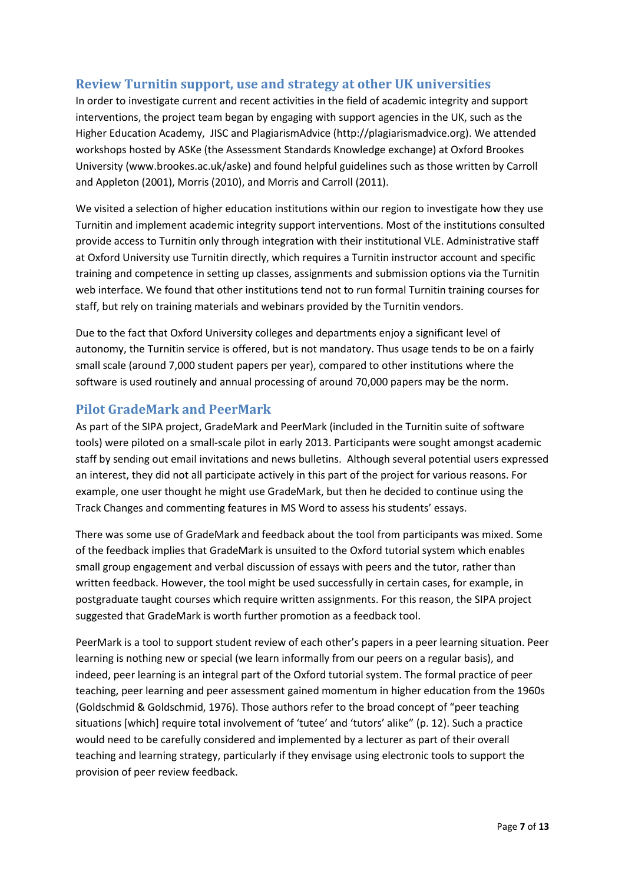#### **Review Turnitin support, use and strategy at other UK universities**

In order to investigate current and recent activities in the field of academic integrity and support interventions, the project team began by engaging with support agencies in the UK, such as the Higher Education Academy, JISC and PlagiarismAdvice (http://plagiarismadvice.org). We attended workshops hosted by ASKe (the Assessment Standards Knowledge exchange) at Oxford Brookes University (www.brookes.ac.uk/aske) and found helpful guidelines such as those written by Carroll and Appleton (2001), Morris (2010), and Morris and Carroll (2011).

We visited a selection of higher education institutions within our region to investigate how they use Turnitin and implement academic integrity support interventions. Most of the institutions consulted provide access to Turnitin only through integration with their institutional VLE. Administrative staff at Oxford University use Turnitin directly, which requires a Turnitin instructor account and specific training and competence in setting up classes, assignments and submission options via the Turnitin web interface. We found that other institutions tend not to run formal Turnitin training courses for staff, but rely on training materials and webinars provided by the Turnitin vendors.

Due to the fact that Oxford University colleges and departments enjoy a significant level of autonomy, the Turnitin service is offered, but is not mandatory. Thus usage tends to be on a fairly small scale (around 7,000 student papers per year), compared to other institutions where the software is used routinely and annual processing of around 70,000 papers may be the norm.

#### **Pilot GradeMark and PeerMark**

As part of the SIPA project, GradeMark and PeerMark (included in the Turnitin suite of software tools) were piloted on a small-scale pilot in early 2013. Participants were sought amongst academic staff by sending out email invitations and news bulletins. Although several potential users expressed an interest, they did not all participate actively in this part of the project for various reasons. For example, one user thought he might use GradeMark, but then he decided to continue using the Track Changes and commenting features in MS Word to assess his students' essays.

There was some use of GradeMark and feedback about the tool from participants was mixed. Some of the feedback implies that GradeMark is unsuited to the Oxford tutorial system which enables small group engagement and verbal discussion of essays with peers and the tutor, rather than written feedback. However, the tool might be used successfully in certain cases, for example, in postgraduate taught courses which require written assignments. For this reason, the SIPA project suggested that GradeMark is worth further promotion as a feedback tool.

PeerMark is a tool to support student review of each other's papers in a peer learning situation. Peer learning is nothing new or special (we learn informally from our peers on a regular basis), and indeed, peer learning is an integral part of the Oxford tutorial system. The formal practice of peer teaching, peer learning and peer assessment gained momentum in higher education from the 1960s (Goldschmid & Goldschmid, 1976). Those authors refer to the broad concept of "peer teaching situations [which] require total involvement of 'tutee' and 'tutors' alike" (p. 12). Such a practice would need to be carefully considered and implemented by a lecturer as part of their overall teaching and learning strategy, particularly if they envisage using electronic tools to support the provision of peer review feedback.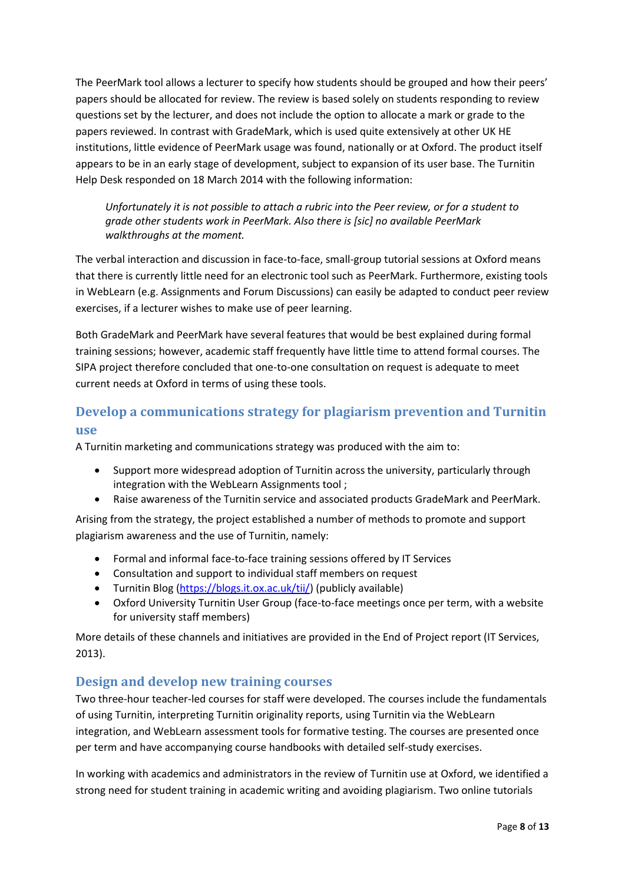The PeerMark tool allows a lecturer to specify how students should be grouped and how their peers' papers should be allocated for review. The review is based solely on students responding to review questions set by the lecturer, and does not include the option to allocate a mark or grade to the papers reviewed. In contrast with GradeMark, which is used quite extensively at other UK HE institutions, little evidence of PeerMark usage was found, nationally or at Oxford. The product itself appears to be in an early stage of development, subject to expansion of its user base. The Turnitin Help Desk responded on 18 March 2014 with the following information:

*Unfortunately it is not possible to attach a rubric into the Peer review, or for a student to grade other students work in PeerMark. Also there is [sic] no available PeerMark walkthroughs at the moment.*

The verbal interaction and discussion in face-to-face, small-group tutorial sessions at Oxford means that there is currently little need for an electronic tool such as PeerMark. Furthermore, existing tools in WebLearn (e.g. Assignments and Forum Discussions) can easily be adapted to conduct peer review exercises, if a lecturer wishes to make use of peer learning.

Both GradeMark and PeerMark have several features that would be best explained during formal training sessions; however, academic staff frequently have little time to attend formal courses. The SIPA project therefore concluded that one-to-one consultation on request is adequate to meet current needs at Oxford in terms of using these tools.

## **Develop a communications strategy for plagiarism prevention and Turnitin use**

A Turnitin marketing and communications strategy was produced with the aim to:

- Support more widespread adoption of Turnitin across the university, particularly through integration with the WebLearn Assignments tool ;
- Raise awareness of the Turnitin service and associated products GradeMark and PeerMark.

Arising from the strategy, the project established a number of methods to promote and support plagiarism awareness and the use of Turnitin, namely:

- Formal and informal face-to-face training sessions offered by IT Services
- Consultation and support to individual staff members on request
- Turnitin Blog [\(https://blogs.it.ox.ac.uk/tii/\)](https://blogs.it.ox.ac.uk/tii/) (publicly available)
- Oxford University Turnitin User Group (face-to-face meetings once per term, with a website for university staff members)

More details of these channels and initiatives are provided in the End of Project report (IT Services, 2013).

#### **Design and develop new training courses**

Two three-hour teacher-led courses for staff were developed. The courses include the fundamentals of using Turnitin, interpreting Turnitin originality reports, using Turnitin via the WebLearn integration, and WebLearn assessment tools for formative testing. The courses are presented once per term and have accompanying course handbooks with detailed self-study exercises.

In working with academics and administrators in the review of Turnitin use at Oxford, we identified a strong need for student training in academic writing and avoiding plagiarism. Two online tutorials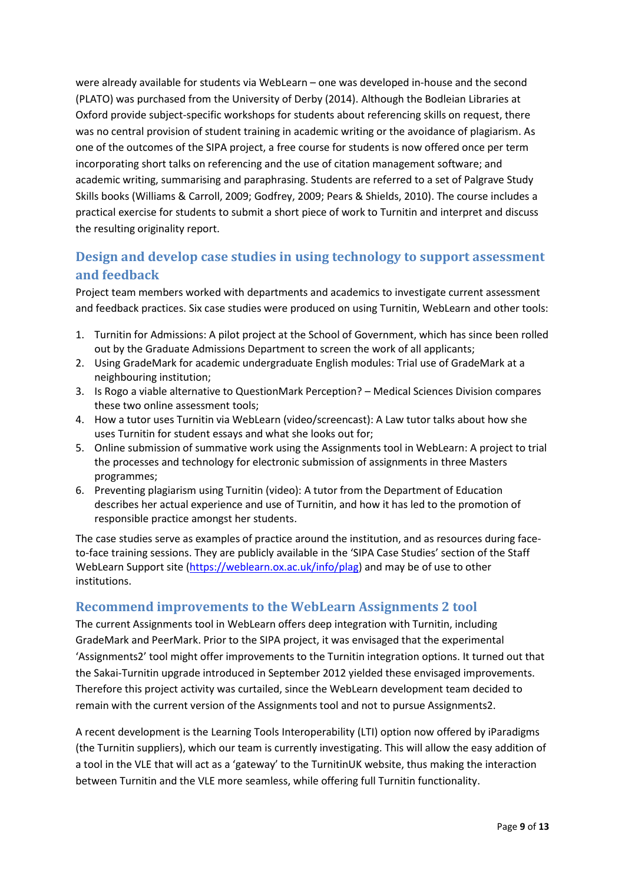were already available for students via WebLearn – one was developed in-house and the second (PLATO) was purchased from the University of Derby (2014). Although the Bodleian Libraries at Oxford provide subject-specific workshops for students about referencing skills on request, there was no central provision of student training in academic writing or the avoidance of plagiarism. As one of the outcomes of the SIPA project, a free course for students is now offered once per term incorporating short talks on referencing and the use of citation management software; and academic writing, summarising and paraphrasing. Students are referred to a set of Palgrave Study Skills books (Williams & Carroll, 2009; Godfrey, 2009; Pears & Shields, 2010). The course includes a practical exercise for students to submit a short piece of work to Turnitin and interpret and discuss the resulting originality report.

## **Design and develop case studies in using technology to support assessment and feedback**

Project team members worked with departments and academics to investigate current assessment and feedback practices. Six case studies were produced on using Turnitin, WebLearn and other tools:

- 1. Turnitin for Admissions: A pilot project at the School of Government, which has since been rolled out by the Graduate Admissions Department to screen the work of all applicants;
- 2. Using GradeMark for academic undergraduate English modules: Trial use of GradeMark at a neighbouring institution;
- 3. Is Rogo a viable alternative to QuestionMark Perception? Medical Sciences Division compares these two online assessment tools;
- 4. How a tutor uses Turnitin via WebLearn (video/screencast): A Law tutor talks about how she uses Turnitin for student essays and what she looks out for;
- 5. Online submission of summative work using the Assignments tool in WebLearn: A project to trial the processes and technology for electronic submission of assignments in three Masters programmes;
- 6. Preventing plagiarism using Turnitin (video): A tutor from the Department of Education describes her actual experience and use of Turnitin, and how it has led to the promotion of responsible practice amongst her students.

The case studies serve as examples of practice around the institution, and as resources during faceto-face training sessions. They are publicly available in the 'SIPA Case Studies' section of the Staff WebLearn Support site [\(https://weblearn.ox.ac.uk/info/plag\)](https://weblearn.ox.ac.uk/info/plag) and may be of use to other institutions.

#### **Recommend improvements to the WebLearn Assignments 2 tool**

The current Assignments tool in WebLearn offers deep integration with Turnitin, including GradeMark and PeerMark. Prior to the SIPA project, it was envisaged that the experimental 'Assignments2' tool might offer improvements to the Turnitin integration options. It turned out that the Sakai-Turnitin upgrade introduced in September 2012 yielded these envisaged improvements. Therefore this project activity was curtailed, since the WebLearn development team decided to remain with the current version of the Assignments tool and not to pursue Assignments2.

A recent development is the Learning Tools Interoperability (LTI) option now offered by iParadigms (the Turnitin suppliers), which our team is currently investigating. This will allow the easy addition of a tool in the VLE that will act as a 'gateway' to the TurnitinUK website, thus making the interaction between Turnitin and the VLE more seamless, while offering full Turnitin functionality.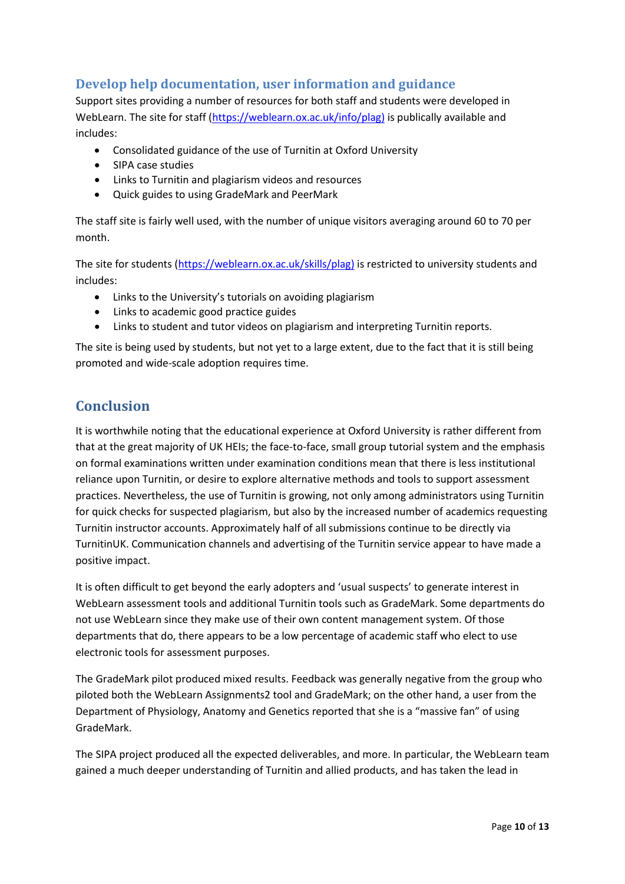## **Develop help documentation, user information and guidance**

Support sites providing a number of resources for both staff and students were developed in WebLearn. The site for staff [\(https://weblearn.ox.ac.uk/info/plag\)](https://weblearn.ox.ac.uk/info/plag) is publically available and includes:

- Consolidated guidance of the use of Turnitin at Oxford University
- SIPA case studies
- Links to Turnitin and plagiarism videos and resources
- Quick guides to using GradeMark and PeerMark

The staff site is fairly well used, with the number of unique visitors averaging around 60 to 70 per month.

The site for students [\(https://weblearn.ox.ac.uk/skills/plag\)](https://weblearn.ox.ac.uk/skills/plag) is restricted to university students and includes:

- $\bullet$  Links to the University's tutorials on avoiding plagiarism
- Links to academic good practice guides
- Links to student and tutor videos on plagiarism and interpreting Turnitin reports.

The site is being used by students, but not yet to a large extent, due to the fact that it is still being promoted and wide-scale adoption requires time.

# **Conclusion**

It is worthwhile noting that the educational experience at Oxford University is rather different from that at the great majority of UK HEIs; the face-to-face, small group tutorial system and the emphasis on formal examinations written under examination conditions mean that there is less institutional reliance upon Turnitin, or desire to explore alternative methods and tools to support assessment practices. Nevertheless, the use of Turnitin is growing, not only among administrators using Turnitin for quick checks for suspected plagiarism, but also by the increased number of academics requesting Turnitin instructor accounts. Approximately half of all submissions continue to be directly via TurnitinUK. Communication channels and advertising of the Turnitin service appear to have made a positive impact.

It is often difficult to get beyond the early adopters and 'usual suspects' to generate interest in WebLearn assessment tools and additional Turnitin tools such as GradeMark. Some departments do not use WebLearn since they make use of their own content management system. Of those departments that do, there appears to be a low percentage of academic staff who elect to use electronic tools for assessment purposes.

The GradeMark pilot produced mixed results. Feedback was generally negative from the group who piloted both the WebLearn Assignments2 tool and GradeMark; on the other hand, a user from the Department of Physiology, Anatomy and Genetics reported that she is a "massive fan" of using GradeMark.

The SIPA project produced all the expected deliverables, and more. In particular, the WebLearn team gained a much deeper understanding of Turnitin and allied products, and has taken the lead in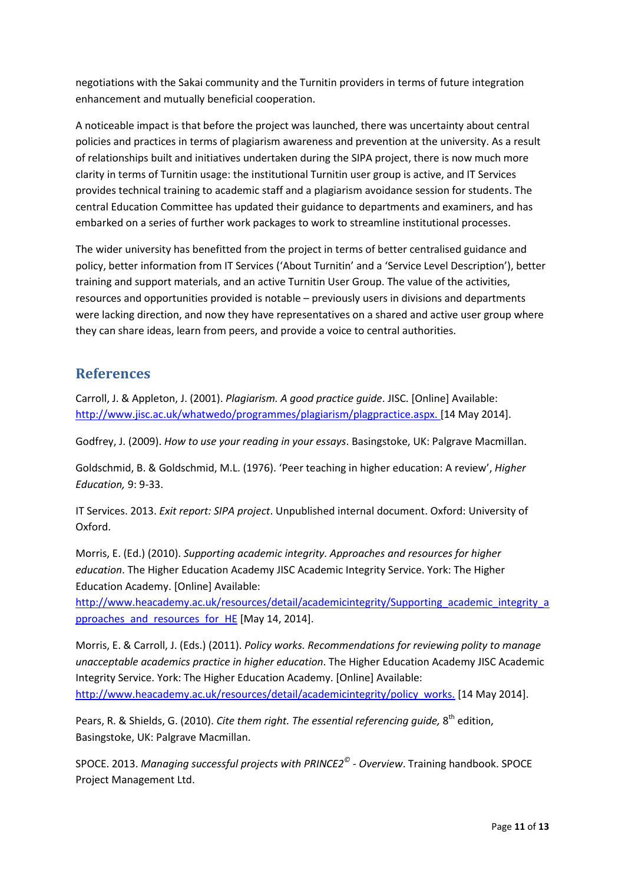negotiations with the Sakai community and the Turnitin providers in terms of future integration enhancement and mutually beneficial cooperation.

A noticeable impact is that before the project was launched, there was uncertainty about central policies and practices in terms of plagiarism awareness and prevention at the university. As a result of relationships built and initiatives undertaken during the SIPA project, there is now much more clarity in terms of Turnitin usage: the institutional Turnitin user group is active, and IT Services provides technical training to academic staff and a plagiarism avoidance session for students. The central Education Committee has updated their guidance to departments and examiners, and has embarked on a series of further work packages to work to streamline institutional processes.

The wider university has benefitted from the project in terms of better centralised guidance and policy, better information from IT Services ('About Turnitin' and a 'Service Level Description'), better training and support materials, and an active Turnitin User Group. The value of the activities, resources and opportunities provided is notable – previously users in divisions and departments were lacking direction, and now they have representatives on a shared and active user group where they can share ideas, learn from peers, and provide a voice to central authorities.

## **References**

Carroll, J. & Appleton, J. (2001). *Plagiarism. A good practice guide*. JISC. [Online] Available: [http://www.jisc.ac.uk/whatwedo/programmes/plagiarism/plagpractice.aspx. \[14](http://www.jisc.ac.uk/whatwedo/programmes/plagiarism/plagpractice.aspx.%20%5b14) May 2014].

Godfrey, J. (2009). *How to use your reading in your essays*. Basingstoke, UK: Palgrave Macmillan.

Goldschmid, B. & Goldschmid, M.L. (1976). 'Peer teaching in higher education: A review', *Higher Education,* 9: 9-33.

IT Services. 2013. *Exit report: SIPA project*. Unpublished internal document. Oxford: University of Oxford.

Morris, E. (Ed.) (2010). *Supporting academic integrity. Approaches and resources for higher education*. The Higher Education Academy JISC Academic Integrity Service. York: The Higher Education Academy. [Online] Available:

[http://www.heacademy.ac.uk/resources/detail/academicintegrity/Supporting\\_academic\\_integrity\\_a](http://www.heacademy.ac.uk/resources/detail/academicintegrity/Supporting_academic_integrity_approaches_and_resources_for_HE) pproaches and resources for HE [May 14, 2014].

Morris, E. & Carroll, J. (Eds.) (2011). *Policy works. Recommendations for reviewing polity to manage unacceptable academics practice in higher education*. The Higher Education Academy JISC Academic Integrity Service. York: The Higher Education Academy. [Online] Available: [http://www.heacademy.ac.uk/resources/detail/academicintegrity/policy\\_works.](http://www.heacademy.ac.uk/resources/detail/academicintegrity/policy_works.%20%5b14) [14 May 2014].

Pears, R. & Shields, G. (2010). *Cite them right. The essential referencing guide,* 8<sup>th</sup> edition, Basingstoke, UK: Palgrave Macmillan.

SPOCE. 2013. *Managing successful projects with PRINCE2© - Overview*. Training handbook. SPOCE Project Management Ltd.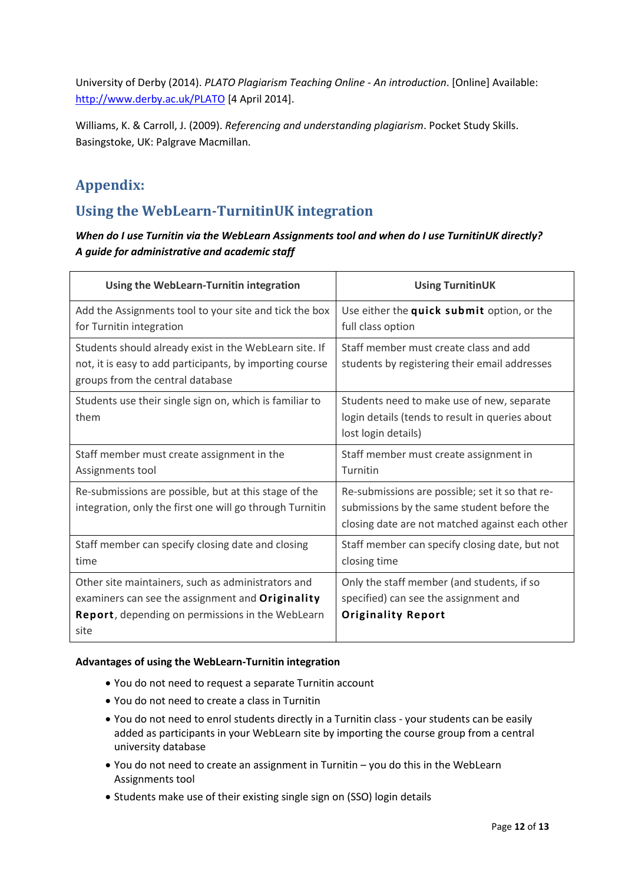University of Derby (2014). *PLATO Plagiarism Teaching Online - An introduction*. [Online] Available: <http://www.derby.ac.uk/PLATO> [4 April 2014].

Williams, K. & Carroll, J. (2009). *Referencing and understanding plagiarism*. Pocket Study Skills. Basingstoke, UK: Palgrave Macmillan.

# **Appendix:**

# **Using the WebLearn-TurnitinUK integration**

*When do I use Turnitin via the WebLearn Assignments tool and when do I use TurnitinUK directly? A guide for administrative and academic staff*

| Using the WebLearn-Turnitin integration                                                                                                                            | <b>Using TurnitinUK</b>                                                                                                                          |
|--------------------------------------------------------------------------------------------------------------------------------------------------------------------|--------------------------------------------------------------------------------------------------------------------------------------------------|
| Add the Assignments tool to your site and tick the box<br>for Turnitin integration                                                                                 | Use either the quick submit option, or the<br>full class option                                                                                  |
| Students should already exist in the WebLearn site. If<br>not, it is easy to add participants, by importing course<br>groups from the central database             | Staff member must create class and add<br>students by registering their email addresses                                                          |
| Students use their single sign on, which is familiar to<br>them                                                                                                    | Students need to make use of new, separate<br>login details (tends to result in queries about<br>lost login details)                             |
| Staff member must create assignment in the<br>Assignments tool                                                                                                     | Staff member must create assignment in<br>Turnitin                                                                                               |
| Re-submissions are possible, but at this stage of the<br>integration, only the first one will go through Turnitin                                                  | Re-submissions are possible; set it so that re-<br>submissions by the same student before the<br>closing date are not matched against each other |
| Staff member can specify closing date and closing<br>time                                                                                                          | Staff member can specify closing date, but not<br>closing time                                                                                   |
| Other site maintainers, such as administrators and<br>examiners can see the assignment and Originality<br>Report, depending on permissions in the WebLearn<br>site | Only the staff member (and students, if so<br>specified) can see the assignment and<br><b>Originality Report</b>                                 |

#### **Advantages of using the WebLearn-Turnitin integration**

- You do not need to request a separate Turnitin account
- You do not need to create a class in Turnitin
- You do not need to enrol students directly in a Turnitin class your students can be easily added as participants in your WebLearn site by importing the course group from a central university database
- You do not need to create an assignment in Turnitin you do this in the WebLearn Assignments tool
- Students make use of their existing single sign on (SSO) login details